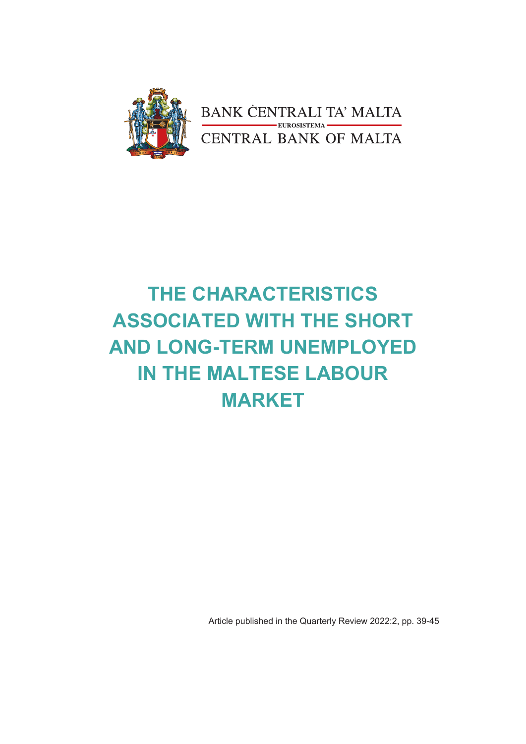

# **THE CHARACTERISTICS ASSOCIATED WITH THE SHORT AND LONG-TERM UNEMPLOYED IN THE MALTESE LABOUR MARKET**

Article published in the Quarterly Review 2022:2, pp. 39-45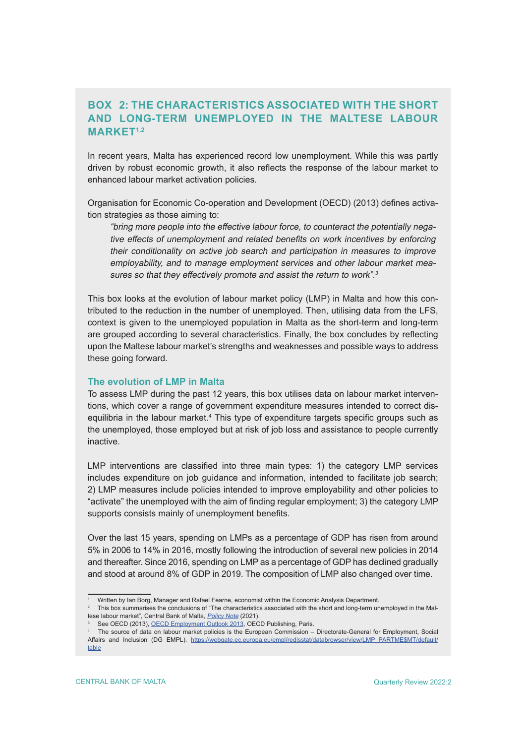## **BOX 2: THE CHARACTERISTICS ASSOCIATED WITH THE SHORT AND LONG-TERM UNEMPLOYED IN THE MALTESE LABOUR MARKET1,2**

In recent years, Malta has experienced record low unemployment. While this was partly driven by robust economic growth, it also reflects the response of the labour market to enhanced labour market activation policies.

Organisation for Economic Co-operation and Development (OECD) (2013) defines activation strategies as those aiming to:

"bring more people into the effective labour force, to counteract the potentially negative effects of unemployment and related benefits on work incentives by enforcing their conditionality on active job search and participation in measures to improve employability, and to manage employment services and other labour market measures so that they effectively promote and assist the return to work".<sup>3</sup>

This box looks at the evolution of labour market policy (LMP) in Malta and how this contributed to the reduction in the number of unemployed. Then, utilising data from the LFS, context is given to the unemployed population in Malta as the short-term and long-term are grouped according to several characteristics. Finally, the box concludes by reflecting upon the Maltese labour market's strengths and weaknesses and possible ways to address these going forward.

### **The evolution of LMP in Malta**

To assess LMP during the past 12 years, this box utilises data on labour market interventions, which cover a range of government expenditure measures intended to correct disequilibria in the labour market.4 This type of expenditure targets specific groups such as the unemployed, those employed but at risk of job loss and assistance to people currently inactive.

LMP interventions are classified into three main types: 1) the category LMP services includes expenditure on job guidance and information, intended to facilitate job search; 2) LMP measures include policies intended to improve employability and other policies to "activate" the unemployed with the aim of finding regular employment; 3) the category LMP supports consists mainly of unemployment benefits.

Over the last 15 years, spending on LMPs as a percentage of GDP has risen from around 5% in 2006 to 14% in 2016, mostly following the introduction of several new policies in 2014 and thereafter. Since 2016, spending on LMP as a percentage of GDP has declined gradually and stood at around 8% of GDP in 2019. The composition of LMP also changed over time.

<sup>1</sup> Written by Ian Borg, Manager and Rafael Fearne, economist within the Economic Analysis Department.

 $^\mathrm{2}$  This box summarises the conclusions of "The characteristics associated with the short and long-term unemployed in the Maltese labour market", Central Bank of Malta, [Policy Note](https://www.centralbankmalta.org/site/Reports-Articles/2021/policy-note-unemployment-duration.pdf?revcount=7577) (2021).

<sup>3</sup> See OECD (2013), [OECD Employment Outlook 2013,](https://doi.org/10.1787/empl_outlook-2013-en) OECD Publishing, Paris.

<sup>4</sup> The source of data on labour market policies is the European Commission – Directorate-General for Employment, Social Affairs and Inclusion (DG EMPL). [https://webgate.ec.europa.eu/empl/redisstat/databrowser/view/LMP\\_PARTME\\$MT/default/](https://webgate.ec.europa.eu/empl/redisstat/databrowser/view/LMP_PARTME$MT/default/table) [table](https://webgate.ec.europa.eu/empl/redisstat/databrowser/view/LMP_PARTME$MT/default/table)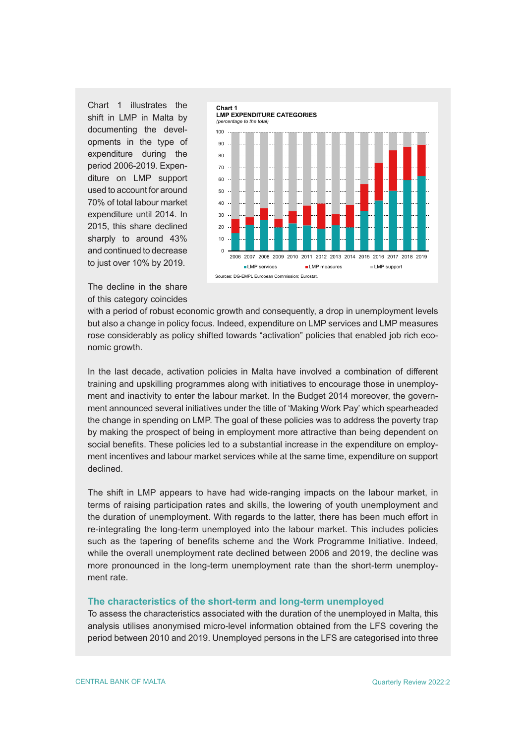Chart 1 illustrates the shift in LMP in Malta by documenting the developments in the type of expenditure during the period 2006-2019. Expenditure on LMP support used to account for around 70% of total labour market expenditure until 2014. In 2015, this share declined sharply to around 43% and continued to decrease to just over 10% by 2019.



The decline in the share of this category coincides

with a period of robust economic growth and consequently, a drop in unemployment levels but also a change in policy focus. Indeed, expenditure on LMP services and LMP measures rose considerably as policy shifted towards "activation" policies that enabled job rich economic growth.

In the last decade, activation policies in Malta have involved a combination of different training and upskilling programmes along with initiatives to encourage those in unemployment and inactivity to enter the labour market. In the Budget 2014 moreover, the government announced several initiatives under the title of 'Making Work Pay' which spearheaded the change in spending on LMP. The goal of these policies was to address the poverty trap by making the prospect of being in employment more attractive than being dependent on social benefits. These policies led to a substantial increase in the expenditure on employment incentives and labour market services while at the same time, expenditure on support declined.

The shift in LMP appears to have had wide-ranging impacts on the labour market, in terms of raising participation rates and skills, the lowering of youth unemployment and the duration of unemployment. With regards to the latter, there has been much effort in re-integrating the long-term unemployed into the labour market. This includes policies such as the tapering of benefits scheme and the Work Programme Initiative. Indeed, while the overall unemployment rate declined between 2006 and 2019, the decline was more pronounced in the long-term unemployment rate than the short-term unemployment rate.

#### **The characteristics of the short-term and long-term unemployed**

To assess the characteristics associated with the duration of the unemployed in Malta, this analysis utilises anonymised micro-level information obtained from the LFS covering the period between 2010 and 2019. Unemployed persons in the LFS are categorised into three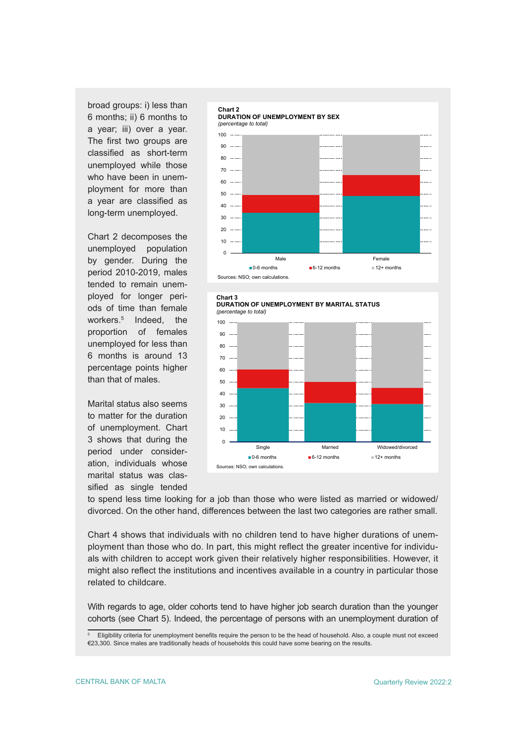broad groups: i) less than 6 months; ii) 6 months to a year; iii) over a year. The first two groups are classified as short-term unemployed while those who have been in unemployment for more than a year are classified as long-term unemployed.

Chart 2 decomposes the unemployed population by gender. During the period 2010-2019, males tended to remain unemployed for longer periods of time than female workers.5 Indeed, the proportion of females unemployed for less than 6 months is around 13 percentage points higher than that of males.

Marital status also seems to matter for the duration of unemployment. Chart 3 shows that during the period under consideration, individuals whose marital status was classified as single tended







to spend less time looking for a job than those who were listed as married or widowed/ divorced. On the other hand, differences between the last two categories are rather small.

Chart 4 shows that individuals with no children tend to have higher durations of unemployment than those who do. In part, this might reflect the greater incentive for individuals with children to accept work given their relatively higher responsibilities. However, it might also reflect the institutions and incentives available in a country in particular those related to childcare.

With regards to age, older cohorts tend to have higher job search duration than the younger cohorts (see Chart 5). Indeed, the percentage of persons with an unemployment duration of

<sup>5</sup> Eligibility criteria for unemployment benefits require the person to be the head of household. Also, a couple must not exceed €23,300. Since males are traditionally heads of households this could have some bearing on the results.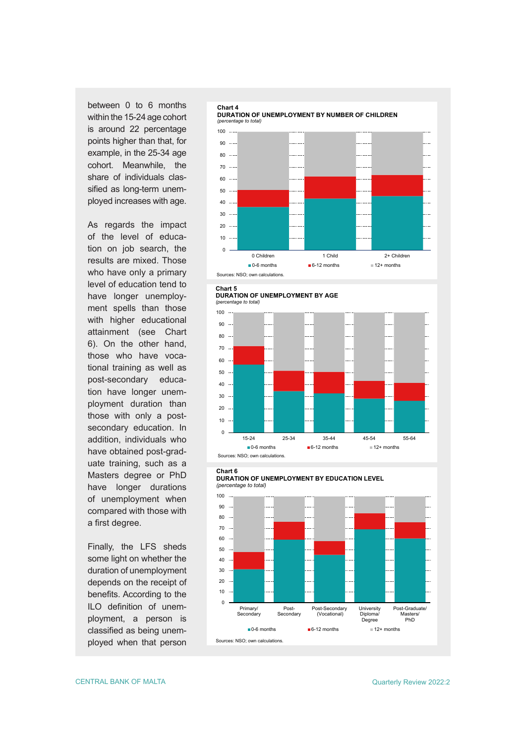between 0 to 6 months within the 15-24 age cohort is around 22 percentage points higher than that, for example, in the 25-34 age cohort. Meanwhile, the share of individuals classified as long-term unemployed increases with age.

As regards the impact of the level of education on job search, the results are mixed. Those who have only a primary level of education tend to have longer unemployment spells than those with higher educational attainment (see Chart 6). On the other hand, those who have vocational training as well as post-secondary education have longer unemployment duration than those with only a postsecondary education. In addition, individuals who have obtained post-graduate training, such as a Masters degree or PhD have longer durations of unemployment when compared with those with a first degree.

Finally, the LFS sheds some light on whether the duration of unemployment depends on the receipt of benefits. According to the ILO definition of unemployment, a person is classified as being unemployed when that person





**DURATION OF UNEMPLOYMENT BY AGE** *(percentage to total)*



#### **Chart 6**

**DURATION OF UNEMPLOYMENT BY EDUCATION LEVEL** *(percentage to total)*

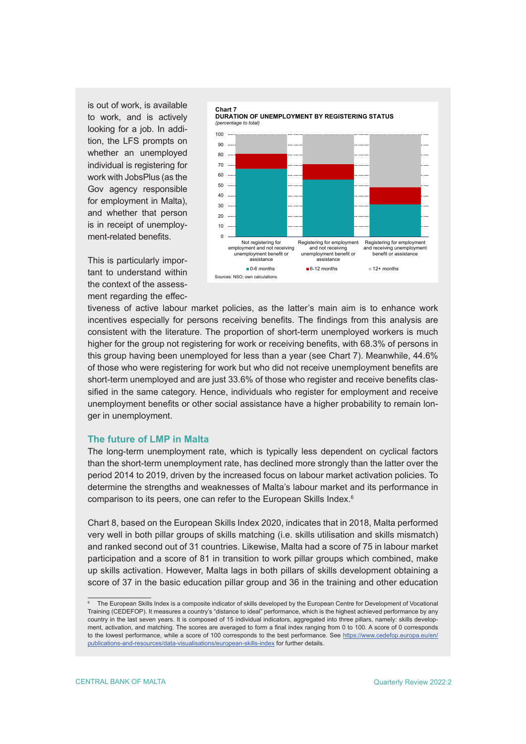is out of work, is available to work, and is actively looking for a job. In addition, the LFS prompts on whether an unemployed individual is registering for work with JobsPlus (as the Gov agency responsible for employment in Malta), and whether that person is in receipt of unemployment-related benefits.

This is particularly important to understand within the context of the assessment regarding the effec-



tiveness of active labour market policies, as the latter's main aim is to enhance work incentives especially for persons receiving benefits. The findings from this analysis are consistent with the literature. The proportion of short-term unemployed workers is much higher for the group not registering for work or receiving benefits, with 68.3% of persons in this group having been unemployed for less than a year (see Chart 7). Meanwhile, 44.6% of those who were registering for work but who did not receive unemployment benefits are short-term unemployed and are just 33.6% of those who register and receive benefits classified in the same category. Hence, individuals who register for employment and receive unemployment benefits or other social assistance have a higher probability to remain longer in unemployment.

#### **The future of LMP in Malta**

The long-term unemployment rate, which is typically less dependent on cyclical factors than the short-term unemployment rate, has declined more strongly than the latter over the period 2014 to 2019, driven by the increased focus on labour market activation policies. To determine the strengths and weaknesses of Malta's labour market and its performance in comparison to its peers, one can refer to the European Skills Index.<sup>6</sup>

Chart 8, based on the European Skills Index 2020, indicates that in 2018, Malta performed very well in both pillar groups of skills matching (i.e. skills utilisation and skills mismatch) and ranked second out of 31 countries. Likewise, Malta had a score of 75 in labour market participation and a score of 81 in transition to work pillar groups which combined, make up skills activation. However, Malta lags in both pillars of skills development obtaining a score of 37 in the basic education pillar group and 36 in the training and other education

<sup>6</sup> The European Skills Index is a composite indicator of skills developed by the European Centre for Development of Vocational Training (CEDEFOP). It measures a country's "distance to ideal" performance, which is the highest achieved performance by any country in the last seven years. It is composed of 15 individual indicators, aggregated into three pillars, namely: skills development, activation, and matching. The scores are averaged to form a final index ranging from 0 to 100. A score of 0 corresponds to the lowest performance, while a score of 100 corresponds to the best performance. See [https://www.cedefop.europa.eu/en/](https://www.cedefop.europa.eu/en/publications-and-resources/data-visualisations/european-skills-index) [publications-and-resources/data-visualisations/european-skills-index](https://www.cedefop.europa.eu/en/publications-and-resources/data-visualisations/european-skills-index) for further details.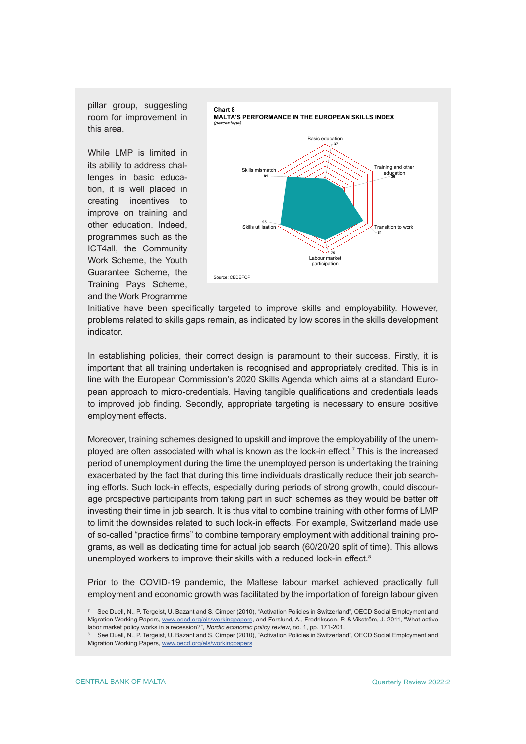pillar group, suggesting room for improvement in this area.

While LMP is limited in its ability to address challenges in basic education, it is well placed in creating incentives to improve on training and other education. Indeed, programmes such as the ICT4all, the Community Work Scheme, the Youth Guarantee Scheme, the Training Pays Scheme, and the Work Programme



Initiative have been specifically targeted to improve skills and employability. However, problems related to skills gaps remain, as indicated by low scores in the skills development indicator.

In establishing policies, their correct design is paramount to their success. Firstly, it is important that all training undertaken is recognised and appropriately credited. This is in line with the European Commission's 2020 Skills Agenda which aims at a standard European approach to micro-credentials. Having tangible qualifications and credentials leads to improved job finding. Secondly, appropriate targeting is necessary to ensure positive employment effects.

Moreover, training schemes designed to upskill and improve the employability of the unemployed are often associated with what is known as the lock-in effect.7 This is the increased period of unemployment during the time the unemployed person is undertaking the training exacerbated by the fact that during this time individuals drastically reduce their job searching efforts. Such lock-in effects, especially during periods of strong growth, could discourage prospective participants from taking part in such schemes as they would be better off investing their time in job search. It is thus vital to combine training with other forms of LMP to limit the downsides related to such lock-in effects. For example, Switzerland made use of so-called "practice firms" to combine temporary employment with additional training programs, as well as dedicating time for actual job search (60/20/20 split of time). This allows unemployed workers to improve their skills with a reduced lock-in effect.<sup>8</sup>

Prior to the COVID-19 pandemic, the Maltese labour market achieved practically full employment and economic growth was facilitated by the importation of foreign labour given

<sup>7</sup> See Duell, N., P. Tergeist, U. Bazant and S. Cimper (2010), "Activation Policies in Switzerland", OECD Social Employment and Migration Working Papers, [www.oecd.org/els/workingpapers](http://www.oecd.org/els/workingpapers), and Forslund, A., Fredriksson, P. & Vikström, J. 2011, "What active labor market policy works in a recession?", Nordic economic policy review, no. 1, pp. 171-201.

<sup>8</sup> See Duell, N., P. Tergeist, U. Bazant and S. Cimper (2010), "Activation Policies in Switzerland", OECD Social Employment and Migration Working Papers, [www.oecd.org/els/workingpapers](http://www.oecd.org/els/workingpapers)